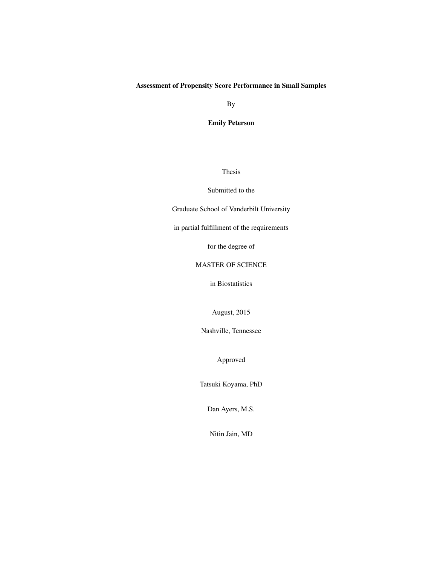#### Assessment of Propensity Score Performance in Small Samples

By

Emily Peterson

Thesis

#### Submitted to the

Graduate School of Vanderbilt University

in partial fulfillment of the requirements

for the degree of

#### MASTER OF SCIENCE

in Biostatistics

August, 2015

Nashville, Tennessee

Approved

Tatsuki Koyama, PhD

Dan Ayers, M.S.

Nitin Jain, MD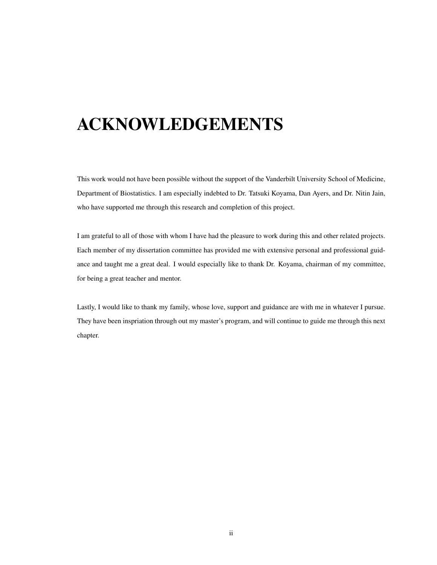# <span id="page-1-0"></span>ACKNOWLEDGEMENTS

This work would not have been possible without the support of the Vanderbilt University School of Medicine, Department of Biostatistics. I am especially indebted to Dr. Tatsuki Koyama, Dan Ayers, and Dr. Nitin Jain, who have supported me through this research and completion of this project.

I am grateful to all of those with whom I have had the pleasure to work during this and other related projects. Each member of my dissertation committee has provided me with extensive personal and professional guidance and taught me a great deal. I would especially like to thank Dr. Koyama, chairman of my committee, for being a great teacher and mentor.

Lastly, I would like to thank my family, whose love, support and guidance are with me in whatever I pursue. They have been inspriation through out my master's program, and will continue to guide me through this next chapter.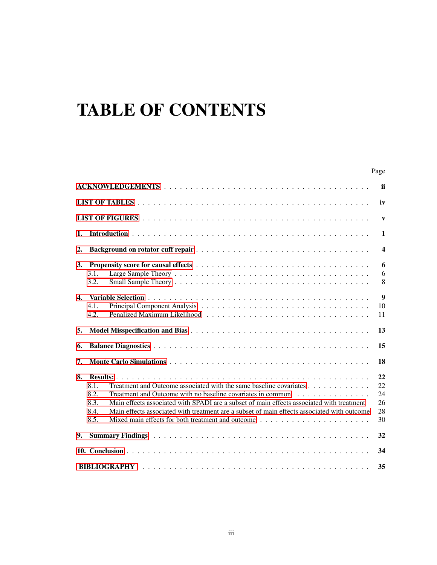# TABLE OF CONTENTS

|              |                                                                                                                                                                                                                                                                                                                                                                                                                                                                              | Page                             |
|--------------|------------------------------------------------------------------------------------------------------------------------------------------------------------------------------------------------------------------------------------------------------------------------------------------------------------------------------------------------------------------------------------------------------------------------------------------------------------------------------|----------------------------------|
|              |                                                                                                                                                                                                                                                                                                                                                                                                                                                                              | <b>ii</b>                        |
|              |                                                                                                                                                                                                                                                                                                                                                                                                                                                                              | iv                               |
|              |                                                                                                                                                                                                                                                                                                                                                                                                                                                                              | $\mathbf{V}$                     |
| 1.           |                                                                                                                                                                                                                                                                                                                                                                                                                                                                              | $\mathbf{1}$                     |
| 2.           |                                                                                                                                                                                                                                                                                                                                                                                                                                                                              | $\boldsymbol{4}$                 |
| 3.           | 3.1.<br>3.2.                                                                                                                                                                                                                                                                                                                                                                                                                                                                 | 6<br>6<br>8                      |
| $\mathbf{4}$ | 4.1.<br>4.2.                                                                                                                                                                                                                                                                                                                                                                                                                                                                 | $\boldsymbol{9}$<br>10<br>11     |
| 5.           |                                                                                                                                                                                                                                                                                                                                                                                                                                                                              | 13                               |
| 6.           |                                                                                                                                                                                                                                                                                                                                                                                                                                                                              | 15                               |
| 7.           |                                                                                                                                                                                                                                                                                                                                                                                                                                                                              | 18                               |
| 8.           | Treatment and Outcome associated with the same baseline covariates<br>8.1.<br>8.2.<br>Treatment and Outcome with no baseline covariates in common<br>Main effects associated with SPADI are a subset of main effects associated with treatment<br>8.3.<br>8.4.<br>Main effects associated with treatment are a subset of main effects associated with outcome<br>8.5.<br>Mixed main effects for both treatment and outcome $\dots \dots \dots \dots \dots \dots \dots \dots$ | 22<br>22<br>24<br>26<br>28<br>30 |
| 9.           |                                                                                                                                                                                                                                                                                                                                                                                                                                                                              | 32                               |
|              |                                                                                                                                                                                                                                                                                                                                                                                                                                                                              | 34                               |
|              | <b>BIBLIOGRAPHY</b>                                                                                                                                                                                                                                                                                                                                                                                                                                                          | 35                               |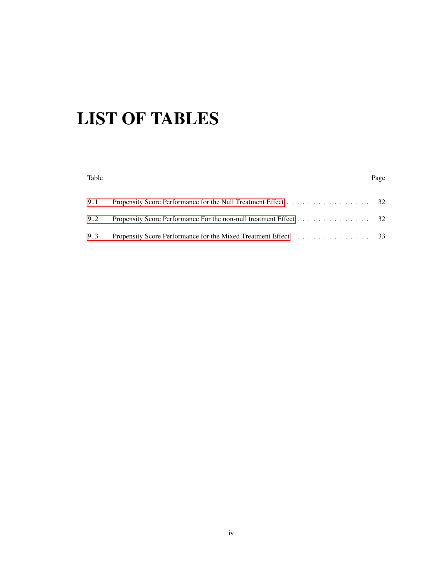# <span id="page-3-0"></span>LIST OF TABLES

## Table **Page** [9..1 Propensity Score Performance for the Null Treatment Effect](#page-36-1) . . . . . . . . . . . . . . . . . 32 [9..2 Propensity Score Performance For the non-null treatment Effect](#page-36-2) . . . . . . . . . . . . . . . 32 [9..3 Propensity Score Performance for the Mixed Treatment Effect](#page-37-0) . . . . . . . . . . . . . . . . 33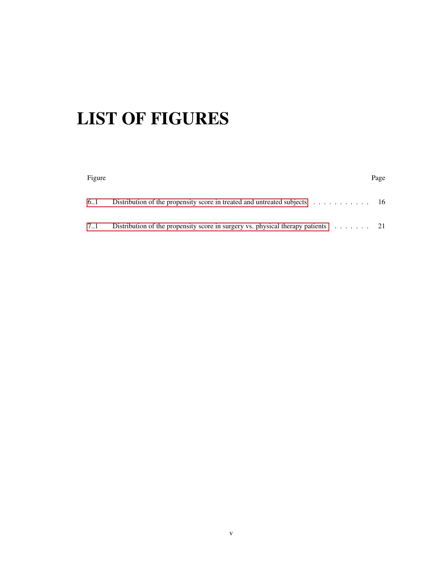# <span id="page-4-0"></span>LIST OF FIGURES

| Figure |                                                                                                  | Page |
|--------|--------------------------------------------------------------------------------------------------|------|
| 6.1    | Distribution of the propensity score in treated and untreated subjects $\dots \dots \dots \dots$ |      |
| 7.1    | Distribution of the propensity score in surgery vs. physical therapy patients $\dots \dots$ 21   |      |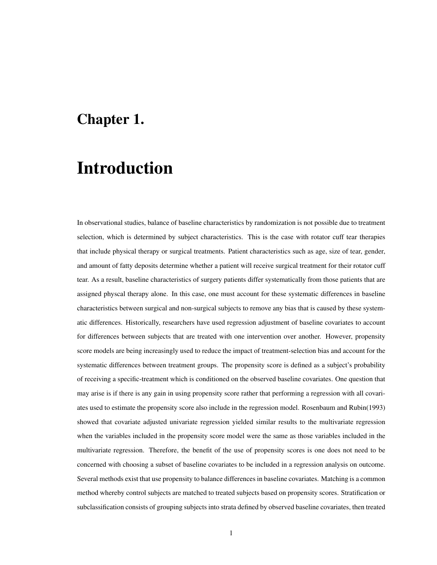### <span id="page-5-0"></span>Chapter 1.

## Introduction

In observational studies, balance of baseline characteristics by randomization is not possible due to treatment selection, which is determined by subject characteristics. This is the case with rotator cuff tear therapies that include physical therapy or surgical treatments. Patient characteristics such as age, size of tear, gender, and amount of fatty deposits determine whether a patient will receive surgical treatment for their rotator cuff tear. As a result, baseline characteristics of surgery patients differ systematically from those patients that are assigned physcal therapy alone. In this case, one must account for these systematic differences in baseline characteristics between surgical and non-surgical subjects to remove any bias that is caused by these systematic differences. Historically, researchers have used regression adjustment of baseline covariates to account for differences between subjects that are treated with one intervention over another. However, propensity score models are being increasingly used to reduce the impact of treatment-selection bias and account for the systematic differences between treatment groups. The propensity score is defined as a subject's probability of receiving a specific-treatment which is conditioned on the observed baseline covariates. One question that may arise is if there is any gain in using propensity score rather that performing a regression with all covariates used to estimate the propensity score also include in the regression model. Rosenbaum and Rubin(1993) showed that covariate adjusted univariate regression yielded similar results to the multivariate regression when the variables included in the propensity score model were the same as those variables included in the multivariate regression. Therefore, the benefit of the use of propensity scores is one does not need to be concerned with choosing a subset of baseline covariates to be included in a regression analysis on outcome. Several methods exist that use propensity to balance differences in baseline covariates. Matching is a common method whereby control subjects are matched to treated subjects based on propensity scores. Stratification or subclassification consists of grouping subjects into strata defined by observed baseline covariates, then treated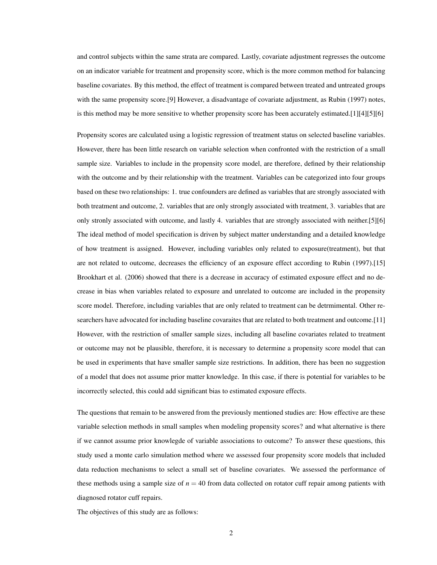and control subjects within the same strata are compared. Lastly, covariate adjustment regresses the outcome on an indicator variable for treatment and propensity score, which is the more common method for balancing baseline covariates. By this method, the effect of treatment is compared between treated and untreated groups with the same propensity score.<sup>[9]</sup> However, a disadvantage of covariate adjustment, as Rubin (1997) notes, is this method may be more sensitive to whether propensity score has been accurately estimated.[1][4][5][6]

Propensity scores are calculated using a logistic regression of treatment status on selected baseline variables. However, there has been little research on variable selection when confronted with the restriction of a small sample size. Variables to include in the propensity score model, are therefore, defined by their relationship with the outcome and by their relationship with the treatment. Variables can be categorized into four groups based on these two relationships: 1. true confounders are defined as variables that are strongly associated with both treatment and outcome, 2. variables that are only strongly associated with treatment, 3. variables that are only stronly associated with outcome, and lastly 4. variables that are strongly associated with neither.[5][6] The ideal method of model specification is driven by subject matter understanding and a detailed knowledge of how treatment is assigned. However, including variables only related to exposure(treatment), but that are not related to outcome, decreases the efficiency of an exposure effect according to Rubin (1997).[15] Brookhart et al. (2006) showed that there is a decrease in accuracy of estimated exposure effect and no decrease in bias when variables related to exposure and unrelated to outcome are included in the propensity score model. Therefore, including variables that are only related to treatment can be detrmimental. Other researchers have advocated for including baseline covaraites that are related to both treatment and outcome.[11] However, with the restriction of smaller sample sizes, including all baseline covariates related to treatment or outcome may not be plausible, therefore, it is necessary to determine a propensity score model that can be used in experiments that have smaller sample size restrictions. In addition, there has been no suggestion of a model that does not assume prior matter knowledge. In this case, if there is potential for variables to be incorrectly selected, this could add significant bias to estimated exposure effects.

The questions that remain to be answered from the previously mentioned studies are: How effective are these variable selection methods in small samples when modeling propensity scores? and what alternative is there if we cannot assume prior knowlegde of variable associations to outcome? To answer these questions, this study used a monte carlo simulation method where we assessed four propensity score models that included data reduction mechanisms to select a small set of baseline covariates. We assessed the performance of these methods using a sample size of  $n = 40$  from data collected on rotator cuff repair among patients with diagnosed rotator cuff repairs.

The objectives of this study are as follows: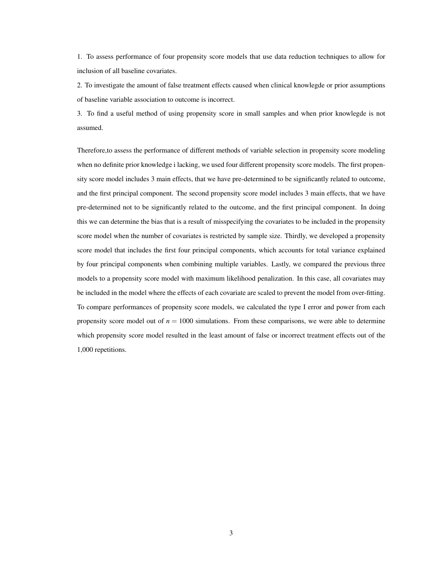1. To assess performance of four propensity score models that use data reduction techniques to allow for inclusion of all baseline covariates.

2. To investigate the amount of false treatment effects caused when clinical knowlegde or prior assumptions of baseline variable association to outcome is incorrect.

3. To find a useful method of using propensity score in small samples and when prior knowlegde is not assumed.

Therefore,to assess the performance of different methods of variable selection in propensity score modeling when no definite prior knowledge i lacking, we used four different propensity score models. The first propensity score model includes 3 main effects, that we have pre-determined to be significantly related to outcome, and the first principal component. The second propensity score model includes 3 main effects, that we have pre-determined not to be significantly related to the outcome, and the first principal component. In doing this we can determine the bias that is a result of misspecifying the covariates to be included in the propensity score model when the number of covariates is restricted by sample size. Thirdly, we developed a propensity score model that includes the first four principal components, which accounts for total variance explained by four principal components when combining multiple variables. Lastly, we compared the previous three models to a propensity score model with maximum likelihood penalization. In this case, all covariates may be included in the model where the effects of each covariate are scaled to prevent the model from over-fitting. To compare performances of propensity score models, we calculated the type I error and power from each propensity score model out of  $n = 1000$  simulations. From these comparisons, we were able to determine which propensity score model resulted in the least amount of false or incorrect treatment effects out of the 1,000 repetitions.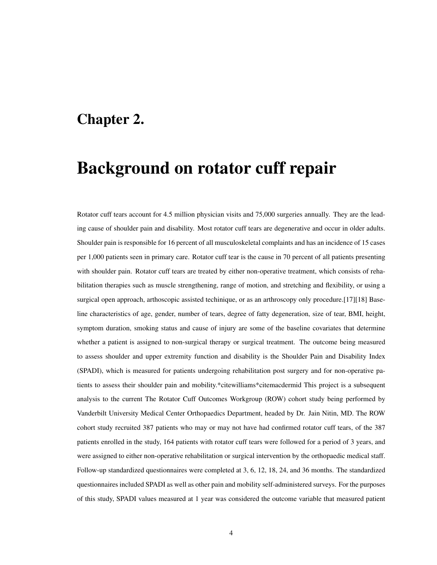### <span id="page-8-0"></span>Chapter 2.

## Background on rotator cuff repair

Rotator cuff tears account for 4.5 million physician visits and 75,000 surgeries annually. They are the leading cause of shoulder pain and disability. Most rotator cuff tears are degenerative and occur in older adults. Shoulder pain is responsible for 16 percent of all musculoskeletal complaints and has an incidence of 15 cases per 1,000 patients seen in primary care. Rotator cuff tear is the cause in 70 percent of all patients presenting with shoulder pain. Rotator cuff tears are treated by either non-operative treatment, which consists of rehabilitation therapies such as muscle strengthening, range of motion, and stretching and flexibility, or using a surgical open approach, arthoscopic assisted techinique, or as an arthroscopy only procedure.[17][18] Baseline characteristics of age, gender, number of tears, degree of fatty degeneration, size of tear, BMI, height, symptom duration, smoking status and cause of injury are some of the baseline covariates that determine whether a patient is assigned to non-surgical therapy or surgical treatment. The outcome being measured to assess shoulder and upper extremity function and disability is the Shoulder Pain and Disability Index (SPADI), which is measured for patients undergoing rehabilitation post surgery and for non-operative patients to assess their shoulder pain and mobility.\*citewilliams\*citemacdermid This project is a subsequent analysis to the current The Rotator Cuff Outcomes Workgroup (ROW) cohort study being performed by Vanderbilt University Medical Center Orthopaedics Department, headed by Dr. Jain Nitin, MD. The ROW cohort study recruited 387 patients who may or may not have had confirmed rotator cuff tears, of the 387 patients enrolled in the study, 164 patients with rotator cuff tears were followed for a period of 3 years, and were assigned to either non-operative rehabilitation or surgical intervention by the orthopaedic medical staff. Follow-up standardized questionnaires were completed at 3, 6, 12, 18, 24, and 36 months. The standardized questionnaires included SPADI as well as other pain and mobility self-administered surveys. For the purposes of this study, SPADI values measured at 1 year was considered the outcome variable that measured patient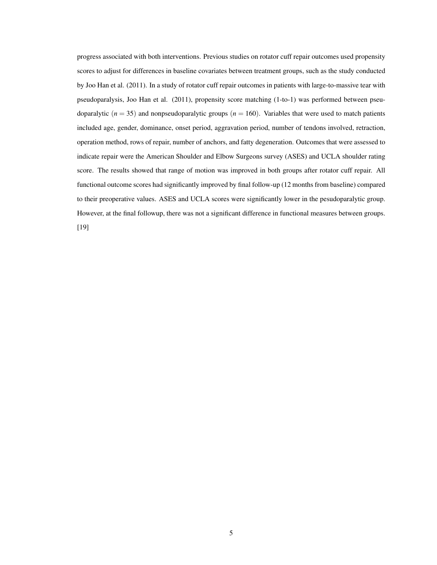progress associated with both interventions. Previous studies on rotator cuff repair outcomes used propensity scores to adjust for differences in baseline covariates between treatment groups, such as the study conducted by Joo Han et al. (2011). In a study of rotator cuff repair outcomes in patients with large-to-massive tear with pseudoparalysis, Joo Han et al. (2011), propensity score matching (1-to-1) was performed between pseudoparalytic ( $n = 35$ ) and nonpseudoparalytic groups ( $n = 160$ ). Variables that were used to match patients included age, gender, dominance, onset period, aggravation period, number of tendons involved, retraction, operation method, rows of repair, number of anchors, and fatty degeneration. Outcomes that were assessed to indicate repair were the American Shoulder and Elbow Surgeons survey (ASES) and UCLA shoulder rating score. The results showed that range of motion was improved in both groups after rotator cuff repair. All functional outcome scores had significantly improved by final follow-up (12 months from baseline) compared to their preoperative values. ASES and UCLA scores were significantly lower in the pesudoparalytic group. However, at the final followup, there was not a significant difference in functional measures between groups. [19]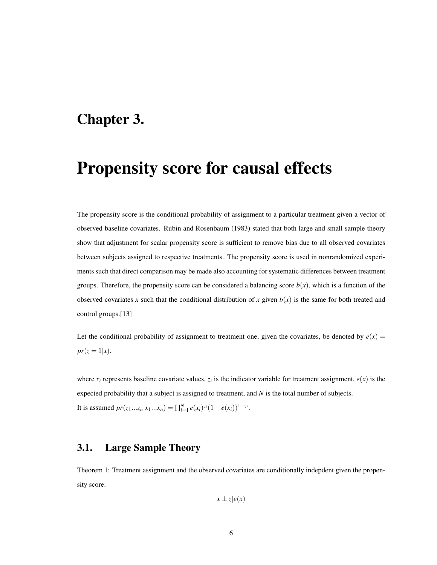### <span id="page-10-0"></span>Chapter 3.

## Propensity score for causal effects

The propensity score is the conditional probability of assignment to a particular treatment given a vector of observed baseline covariates. Rubin and Rosenbaum (1983) stated that both large and small sample theory show that adjustment for scalar propensity score is sufficient to remove bias due to all observed covariates between subjects assigned to respective treatments. The propensity score is used in nonrandomized experiments such that direct comparison may be made also accounting for systematic differences between treatment groups. Therefore, the propensity score can be considered a balancing score  $b(x)$ , which is a function of the observed covariates *x* such that the conditional distribution of *x* given  $b(x)$  is the same for both treated and control groups.[13]

Let the conditional probability of assignment to treatment one, given the covariates, be denoted by  $e(x)$  =  $pr(z = 1|x)$ .

where  $x_i$  represents baseline covariate values,  $z_i$  is the indicator variable for treatment assignment,  $e(x)$  is the expected probability that a subject is assigned to treatment, and *N* is the total number of subjects. It is assumed  $pr(z_1...z_n|x_1...x_n) = \prod_{i=1}^{N} e(x_i)^{z_i} (1 - e(x_i))^{1 - z_i}$ .

#### <span id="page-10-1"></span>3.1. Large Sample Theory

Theorem 1: Treatment assignment and the observed covariates are conditionally indepdent given the propensity score.

$$
x \perp z | e(x)
$$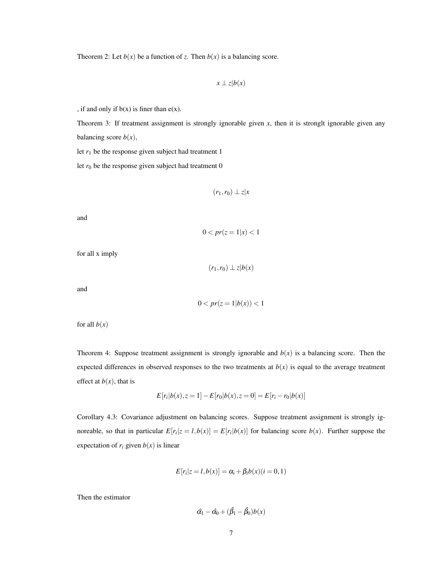Theorem 2: Let  $b(x)$  be a function of *z*. Then  $b(x)$  is a balancing score.

$$
x \perp z | b(x)
$$

, if and only if  $b(x)$  is finer than  $e(x)$ .

Theorem 3: If treatment assignment is strongly ignorable given *x*, then it is stronglt ignorable given any balancing score  $b(x)$ ,

let  $r_1$  be the response given subject had treatment 1

let  $r_0$  be the response given subject had treatment  $0$ 

$$
(r_1,r_0)\perp z|x|
$$

and

 $0 < pr(z = 1 | x) < 1$ 

for all x imply

 $(r_1, r_0)$  ⊥ *z*|*b*(*x*)

and

$$
0 < pr(z=1|b(x)) < 1
$$

for all  $b(x)$ 

Theorem 4: Suppose treatment assignment is strongly ignorable and  $b(x)$  is a balancing score. Then the expected differences in observed responses to the two treatments at  $b(x)$  is equal to the average treatment effect at  $b(x)$ , that is

$$
E[r_i|b(x), z = 1] - E[r_0|b(x), z = 0] = E[r_i - r_0|b(x)]
$$

Corollary 4.3: Covariance adjustment on balancing scores. Suppose treatment assignment is strongly ignoreable, so that in particular  $E[r_i|z = l, b(x)] = E[r_i|b(x)]$  for balancing score  $b(x)$ . Further suppose the expectation of  $r_i$  given  $b(x)$  is linear

$$
E[r_i|z=l,b(x)]=\alpha_i+\beta_i b(x)(i=0,1)
$$

Then the estimator

$$
\hat{\alpha_1} - \hat{\alpha_0} + (\hat{\beta_1} - \hat{\beta_0})b(x)
$$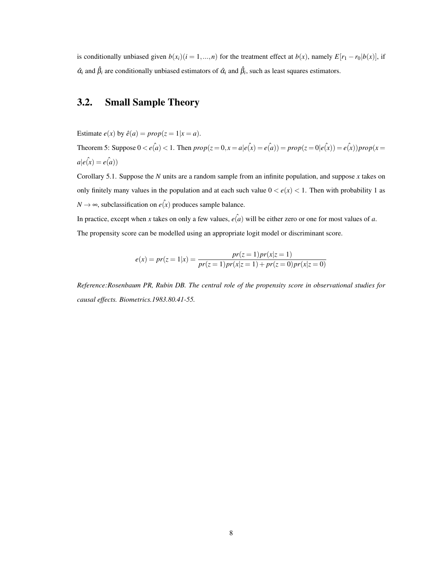is conditionally unbiased given  $b(x_i)(i = 1, ..., n)$  for the treatment effect at  $b(x)$ , namely  $E[r_1 - r_0](b(x))$ , if  $\hat{\alpha}_i$  and  $\hat{\beta}_i$  are conditionally unbiased estimators of  $\hat{\alpha}_i$  and  $\hat{\beta}_i$ , such as least squares estimators.

### <span id="page-12-0"></span>3.2. Small Sample Theory

Estimate  $e(x)$  by  $\hat{e}(a) = prop(z = 1 | x = a)$ .

Theorem 5: Suppose  $0 < e(\hat{a}) < 1$ . Then  $prop(z = 0, x = a | e(\hat{x}) = e(\hat{a})) = prop(z = 0 | e(\hat{x})) = e(\hat{x})) prop(x = a)$  $a|e(x) = e(a)$ 

Corollary 5.1. Suppose the *N* units are a random sample from an infinite population, and suppose *x* takes on only finitely many values in the population and at each such value  $0 < e(x) < 1$ . Then with probability 1 as  $N \rightarrow \infty$ , subclassification on  $e(\hat{x})$  produces sample balance.

In practice, except when *x* takes on only a few values,  $e(a)$  will be either zero or one for most values of *a*.

The propensity score can be modelled using an appropriate logit model or discriminant score.

$$
e(x) = pr(z = 1|x) = \frac{pr(z = 1)pr(x|z = 1)}{pr(z = 1)pr(x|z = 1) + pr(z = 0)pr(x|z = 0)}
$$

*Reference:Rosenbaum PR, Rubin DB. The central role of the propensity score in observational studies for causal effects. Biometrics.1983.80.41-55.*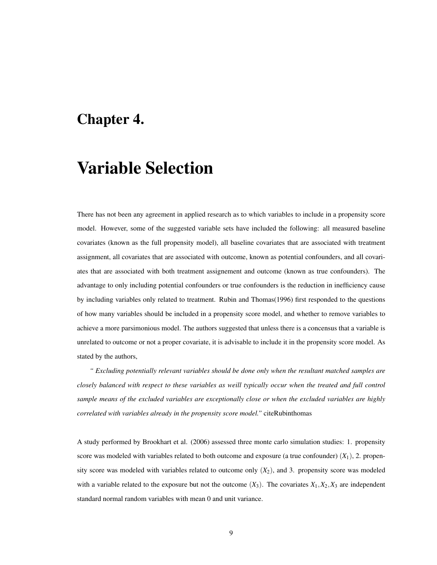### <span id="page-13-0"></span>Chapter 4.

## Variable Selection

There has not been any agreement in applied research as to which variables to include in a propensity score model. However, some of the suggested variable sets have included the following: all measured baseline covariates (known as the full propensity model), all baseline covariates that are associated with treatment assignment, all covariates that are associated with outcome, known as potential confounders, and all covariates that are associated with both treatment assignement and outcome (known as true confounders). The advantage to only including potential confounders or true confounders is the reduction in inefficiency cause by including variables only related to treatment. Rubin and Thomas(1996) first responded to the questions of how many variables should be included in a propensity score model, and whether to remove variables to achieve a more parsimonious model. The authors suggested that unless there is a concensus that a variable is unrelated to outcome or not a proper covariate, it is advisable to include it in the propensity score model. As stated by the authors,

*" Excluding potentially relevant variables should be done only when the resultant matched samples are closely balanced with respect to these variables as weill typically occur when the treated and full control sample means of the excluded variables are exceptionally close or when the excluded variables are highly correlated with variables already in the propensity score model."* citeRubinthomas

A study performed by Brookhart et al. (2006) assessed three monte carlo simulation studies: 1. propensity score was modeled with variables related to both outcome and exposure (a true confounder)  $(X_1)$ , 2. propensity score was modeled with variables related to outcome only  $(X_2)$ , and 3. propensity score was modeled with a variable related to the exposure but not the outcome  $(X_3)$ . The covariates  $X_1, X_2, X_3$  are independent standard normal random variables with mean 0 and unit variance.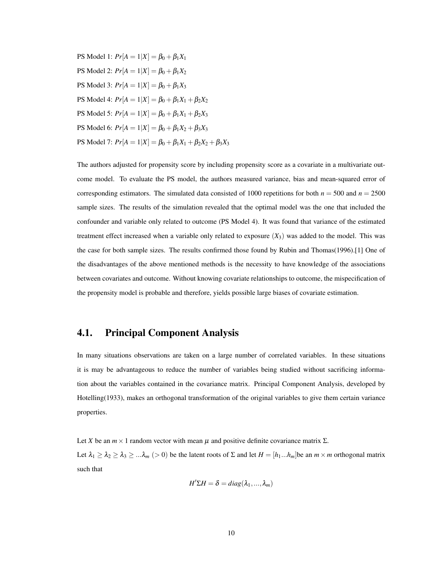**PS** Model 1:  $Pr[A = 1|X] = \beta_0 + \beta_1 X_1$ PS Model 2:  $Pr[A = 1|X] = \beta_0 + \beta_1 X_2$ **PS** Model 3:  $Pr[A = 1|X] = \beta_0 + \beta_1 X_3$ PS Model 4:  $Pr[A = 1|X] = \beta_0 + \beta_1 X_1 + \beta_2 X_2$ PS Model 5:  $Pr[A = 1|X] = \beta_0 + \beta_1 X_1 + \beta_2 X_3$ PS Model 6:  $Pr[A = 1|X] = \beta_0 + \beta_1 X_2 + \beta_3 X_3$ PS Model 7:  $Pr[A = 1|X] = \beta_0 + \beta_1 X_1 + \beta_2 X_2 + \beta_3 X_3$ 

The authors adjusted for propensity score by including propensity score as a covariate in a multivariate outcome model. To evaluate the PS model, the authors measured variance, bias and mean-squared error of corresponding estimators. The simulated data consisted of 1000 repetitions for both  $n = 500$  and  $n = 2500$ sample sizes. The results of the simulation revealed that the optimal model was the one that included the confounder and variable only related to outcome (PS Model 4). It was found that variance of the estimated treatment effect increased when a variable only related to exposure  $(X_3)$  was added to the model. This was the case for both sample sizes. The results confirmed those found by Rubin and Thomas(1996).[1] One of the disadvantages of the above mentioned methods is the necessity to have knowledge of the associations between covariates and outcome. Without knowing covariate relationships to outcome, the mispecification of the propensity model is probable and therefore, yields possible large biases of covariate estimation.

#### <span id="page-14-0"></span>4.1. Principal Component Analysis

In many situations observations are taken on a large number of correlated variables. In these situations it is may be advantageous to reduce the number of variables being studied without sacrificing information about the variables contained in the covariance matrix. Principal Component Analysis, developed by Hotelling(1933), makes an orthogonal transformation of the original variables to give them certain variance properties.

Let *X* be an  $m \times 1$  random vector with mean  $\mu$  and positive definite covariance matrix  $\Sigma$ . Let  $\lambda_1 \geq \lambda_2 \geq \lambda_3 \geq \ldots \lambda_m$  (> 0) be the latent roots of  $\Sigma$  and let  $H = [h_1...h_m]$  be an  $m \times m$  orthogonal matrix such that

$$
H'\Sigma H = \delta = diag(\lambda_1,...,\lambda_m)
$$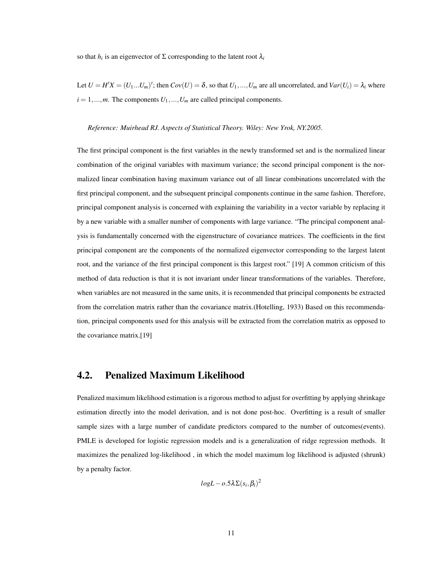so that  $h_i$  is an eigenvector of  $\Sigma$  corresponding to the latent root  $\lambda_i$ 

Let  $U = H'X = (U_1...U_m)'$ ; then  $Cov(U) = \delta$ , so that  $U_1,...,U_m$  are all uncorrelated, and  $Var(U_i) = \lambda_i$  where  $i = 1, \ldots, m$ . The components  $U_1, \ldots, U_m$  are called principal components.

#### *Reference: Muirhead RJ. Aspects of Statistical Theory. Wiley: New Yrok, NY.2005.*

The first principal component is the first variables in the newly transformed set and is the normalized linear combination of the original variables with maximum variance; the second principal component is the normalized linear combination having maximum variance out of all linear combinations uncorrelated with the first principal component, and the subsequent principal components continue in the same fashion. Therefore, principal component analysis is concerned with explaining the variability in a vector variable by replacing it by a new variable with a smaller number of components with large variance. "The principal component analysis is fundamentally concerned with the eigenstructure of covariance matrices. The coefficients in the first principal component are the components of the normalized eigenvector corresponding to the largest latent root, and the variance of the first principal component is this largest root." [19] A common criticism of this method of data reduction is that it is not invariant under linear transformations of the variables. Therefore, when variables are not measured in the same units, it is recommended that principal components be extracted from the correlation matrix rather than the covariance matrix.(Hotelling, 1933) Based on this recommendation, principal components used for this analysis will be extracted from the correlation matrix as opposed to the covariance matrix.[19]

#### <span id="page-15-0"></span>4.2. Penalized Maximum Likelihood

Penalized maximum likelihood estimation is a rigorous method to adjust for overfitting by applying shrinkage estimation directly into the model derivation, and is not done post-hoc. Overfitting is a result of smaller sample sizes with a large number of candidate predictors compared to the number of outcomes(events). PMLE is developed for logistic regression models and is a generalization of ridge regression methods. It maximizes the penalized log-likelihood , in which the model maximum log likelihood is adjusted (shrunk) by a penalty factor.

$$
logL - o.5\lambda \Sigma(s_i, \beta_i)^2
$$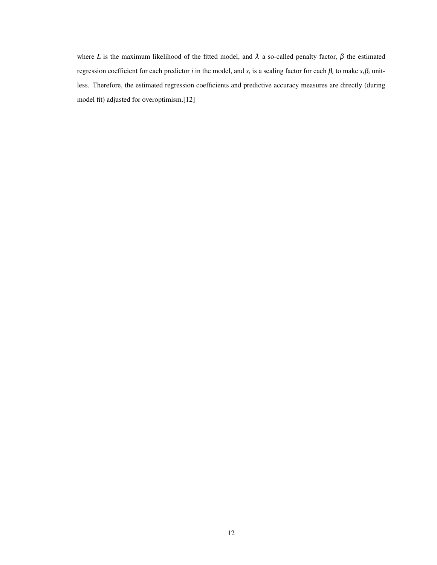where *L* is the maximum likelihood of the fitted model, and  $\lambda$  a so-called penalty factor,  $\beta$  the estimated regression coefficient for each predictor *i* in the model, and *s<sup>i</sup>* is a scaling factor for each β*<sup>i</sup>* to make *si*β*<sup>i</sup>* unitless. Therefore, the estimated regression coefficients and predictive accuracy measures are directly (during model fit) adjusted for overoptimism.[12]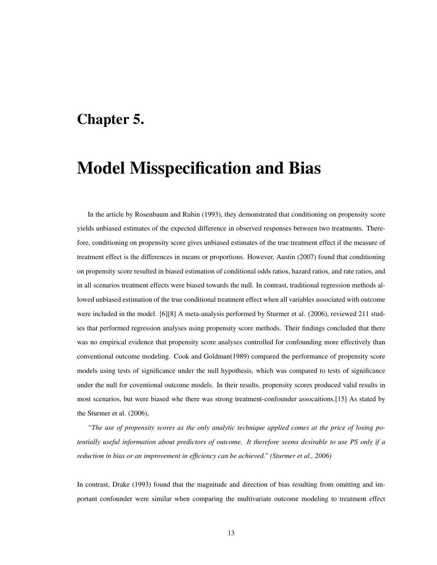### <span id="page-17-0"></span>Chapter 5.

## Model Misspecification and Bias

In the article by Rosenbaum and Rubin (1993), they demonstrated that conditioning on propensity score yields unbiased estimates of the expected difference in observed responses between two treatments. Therefore, conditioning on propensity score gives unbiased estimates of the true treatment effect if the measure of treatment effect is the differences in means or proportions. However, Austin (2007) found that conditioning on propensity score resulted in biased estimation of conditional odds ratios, hazard ratios, and rate ratios, and in all scenarios treatment effects were biased towards the null. In contrast, traditional regression methods allowed unbiased estimation of the true conditional treatment effect when all variables associated with outcome were included in the model. [6][8] A meta-analysis performed by Sturmer et al. (2006), reviewed 211 studies that performed regression analyses using propensity score methods. Their findings concluded that there was no empirical evidence that propensity score analyses controlled for confounding more effectively than conventional outcome modeling. Cook and Goldman(1989) compared the performance of propensity score models using tests of significance under the null hypothesis, which was compared to tests of significance under the null for coventional outcome models. In their results, propensity scores produced valid results in most scenarios, but were biased whe there was strong treatment-confounder assocaitions.[15] As stated by the Sturmer et al. (2006),

*"The use of propensity scores as the only analytic technique applied comes at the price of losing potentially useful information about predictors of outcome. It therefore seems desirable to use PS only if a reduction in bias or an improvement in efficiency can be achieved." (Sturmer et al., 2006)*

In contrast, Drake (1993) found that the magnitude and direction of bias resulting from omitting and important confounder were similar when comparing the multivariate outcome modeling to treatment effect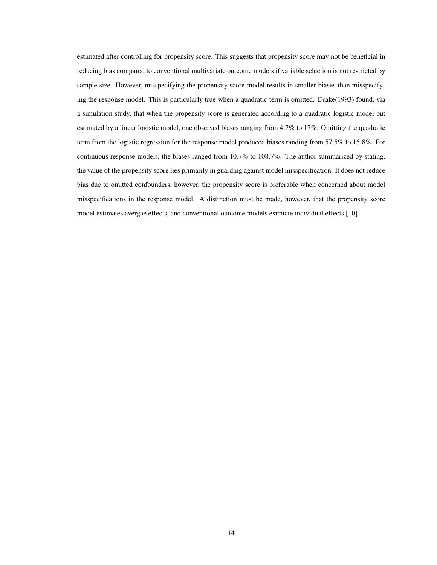estimated after controlling for propensity score. This suggests that propensity score may not be beneficial in reducing bias compared to conventional multivariate outcome models if variable selection is not restricted by sample size. However, misspecifying the propensity score model results in smaller biases than misspecifying the response model. This is particularly true when a quadratic term is omitted. Drake(1993) found, via a simulation study, that when the propensity score is generated according to a quadratic logistic model but estimated by a linear logistic model, one observed biases ranging from 4.7% to 17%. Omitting the quadratic term from the logistic regression for the response model produced biases randing from 57.5% to 15.8%. For continuous response models, the biases ranged from 10.7% to 108.7%. The author summarized by stating, the value of the propensity score lies primarily in guarding against model misspecification. It does not reduce bias due to omitted confounders, however, the propensity score is preferable when concerned about model misspecifications in the response model. A distinction must be made, however, that the propensity score model estimates avergae effects, and conventional outcome models esimtate individual effects.[10]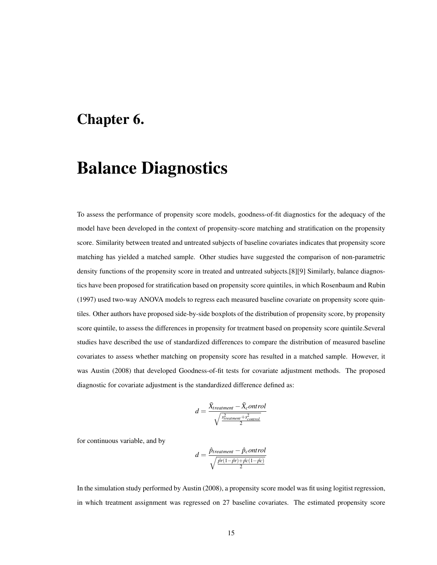### <span id="page-19-0"></span>Chapter 6.

## Balance Diagnostics

To assess the performance of propensity score models, goodness-of-fit diagnostics for the adequacy of the model have been developed in the context of propensity-score matching and stratification on the propensity score. Similarity between treated and untreated subjects of baseline covariates indicates that propensity score matching has yielded a matched sample. Other studies have suggested the comparison of non-parametric density functions of the propensity score in treated and untreated subjects.[8][9] Similarly, balance diagnostics have been proposed for stratification based on propensity score quintiles, in which Rosenbaum and Rubin (1997) used two-way ANOVA models to regress each measured baseline covariate on propensity score quintiles. Other authors have proposed side-by-side boxplots of the distribution of propensity score, by propensity score quintile, to assess the differences in propensity for treatment based on propensity score quintile. Several studies have described the use of standardized differences to compare the distribution of measured baseline covariates to assess whether matching on propensity score has resulted in a matched sample. However, it was Austin (2008) that developed Goodness-of-fit tests for covariate adjustment methods. The proposed diagnostic for covariate adjustment is the standardized difference defined as:

$$
d = \frac{\bar{X}_{treatment} - \bar{X}_{c}ontrol}{\sqrt{\frac{s_{treatment}^2 + s_{control}^2}{2}}}
$$

for continuous variable, and by

$$
d = \frac{\hat{p}_{treatment} - \hat{p}_{c}ontrol}{\sqrt{\frac{\hat{p}r(1-\hat{p}r) + \hat{p}c(1-\hat{p}c)}{2}}}
$$

In the simulation study performed by Austin (2008), a propensity score model was fit using logitist regression, in which treatment assignment was regressed on 27 baseline covariates. The estimated propensity score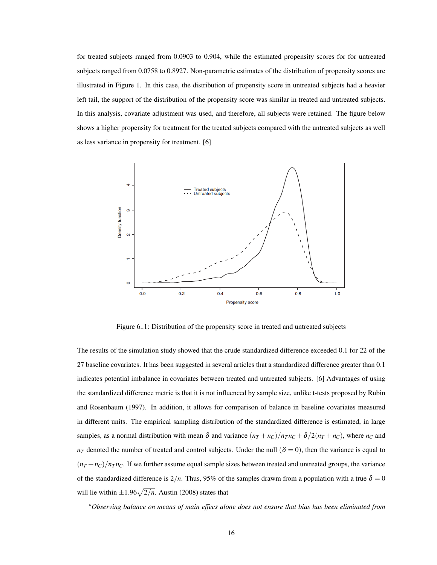for treated subjects ranged from 0.0903 to 0.904, while the estimated propensity scores for for untreated subjects ranged from 0.0758 to 0.8927. Non-parametric estimates of the distribution of propensity scores are illustrated in Figure 1. In this case, the distribution of propensity score in untreated subjects had a heavier left tail, the support of the distribution of the propensity score was similar in treated and untreated subjects. In this analysis, covariate adjustment was used, and therefore, all subjects were retained. The figure below shows a higher propensity for treatment for the treated subjects compared with the untreated subjects as well as less variance in propensity for treatment. [6]

<span id="page-20-0"></span>

Figure 6..1: Distribution of the propensity score in treated and untreated subjects

The results of the simulation study showed that the crude standardized difference exceeded 0.1 for 22 of the 27 baseline covariates. It has been suggested in several articles that a standardized difference greater than 0.1 indicates potential imbalance in covariates between treated and untreated subjects. [6] Advantages of using the standardized difference metric is that it is not influenced by sample size, unlike t-tests proposed by Rubin and Rosenbaum (1997). In addition, it allows for comparison of balance in baseline covariates measured in different units. The empirical sampling distribution of the standardized difference is estimated, in large samples, as a normal distribution with mean  $\delta$  and variance  $(n_T + n_C)/n_T n_C + \delta/2(n_T + n_C)$ , where  $n_C$  and  $n_T$  denoted the number of treated and control subjects. Under the null ( $\delta = 0$ ), then the variance is equal to  $(n_T + n_C)/n_T n_C$ . If we further assume equal sample sizes between treated and untreated groups, the variance of the standardized difference is  $2/n$ . Thus, 95% of the samples drawm from a population with a true  $\delta = 0$ will lie within  $\pm 1.96\sqrt{2/n}$ . Austin (2008) states that

*"Observing balance on means of main effecs alone does not ensure that bias has been eliminated from*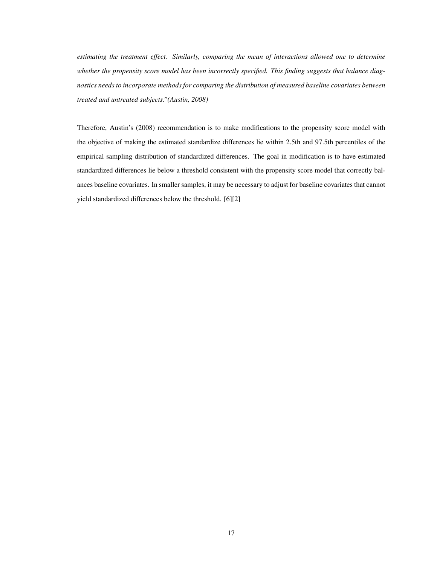*estimating the treatment effect. Similarly, comparing the mean of interactions allowed one to determine whether the propensity score model has been incorrectly specified. This finding suggests that balance diagnostics needs to incorporate methods for comparing the distribution of measured baseline covariates between treated and untreated subjects."(Austin, 2008)*

Therefore, Austin's (2008) recommendation is to make modifications to the propensity score model with the objective of making the estimated standardize differences lie within 2.5th and 97.5th percentiles of the empirical sampling distribution of standardized differences. The goal in modification is to have estimated standardized differences lie below a threshold consistent with the propensity score model that correctly balances baseline covariates. In smaller samples, it may be necessary to adjust for baseline covariates that cannot yield standardized differences below the threshold. [6][2]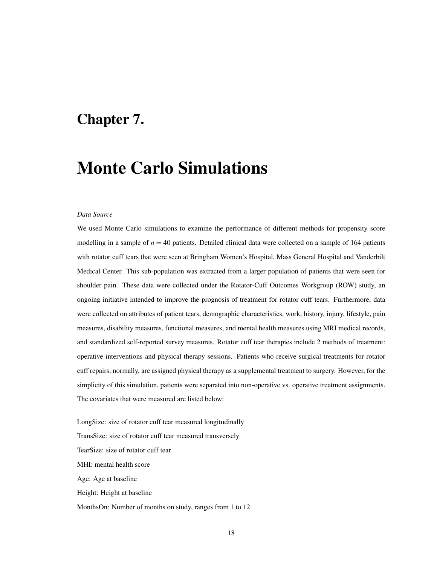### <span id="page-22-0"></span>Chapter 7.

## Monte Carlo Simulations

#### *Data Source*

We used Monte Carlo simulations to examine the performance of different methods for propensity score modelling in a sample of  $n = 40$  patients. Detailed clinical data were collected on a sample of 164 patients with rotator cuff tears that were seen at Bringham Women's Hospital, Mass General Hospital and Vanderbilt Medical Center. This sub-population was extracted from a larger population of patients that were seen for shoulder pain. These data were collected under the Rotator-Cuff Outcomes Workgroup (ROW) study, an ongoing initiative intended to improve the prognosis of treatment for rotator cuff tears. Furthermore, data were collected on attributes of patient tears, demographic characteristics, work, history, injury, lifestyle, pain measures, disability measures, functional measures, and mental health measures using MRI medical records, and standardized self-reported survey measures. Rotator cuff tear therapies include 2 methods of treatment: operative interventions and physical therapy sessions. Patients who receive surgical treatments for rotator cuff repairs, normally, are assigned physical therapy as a supplemental treatment to surgery. However, for the simplicity of this simulation, patients were separated into non-operative vs. operative treatment assignments. The covariates that were measured are listed below:

LongSize: size of rotator cuff tear measured longitudinally TransSize: size of rotator cuff tear measured transversely TearSize: size of rotator cuff tear MHI: mental health score Age: Age at baseline Height: Height at baseline MonthsOn: Number of months on study, ranges from 1 to 12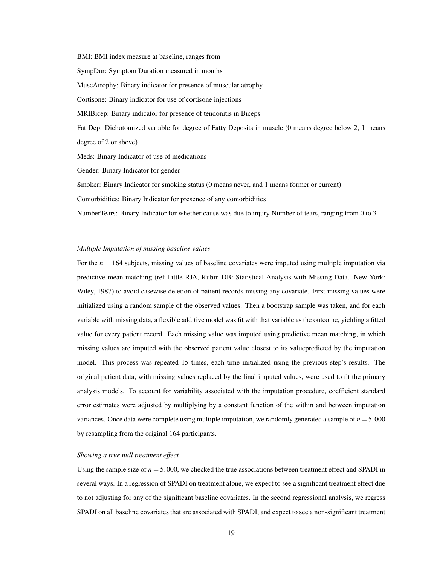BMI: BMI index measure at baseline, ranges from SympDur: Symptom Duration measured in months MuscAtrophy: Binary indicator for presence of muscular atrophy Cortisone: Binary indicator for use of cortisone injections MRIBicep: Binary indicator for presence of tendonitis in Biceps Fat Dep: Dichotomized variable for degree of Fatty Deposits in muscle (0 means degree below 2, 1 means degree of 2 or above) Meds: Binary Indicator of use of medications Gender: Binary Indicator for gender

Smoker: Binary Indicator for smoking status (0 means never, and 1 means former or current)

Comorbidities: Binary Indicator for presence of any comorbidities

NumberTears: Binary Indicator for whether cause was due to injury Number of tears, ranging from 0 to 3

#### *Multiple Imputation of missing baseline values*

For the  $n = 164$  subjects, missing values of baseline covariates were imputed using multiple imputation via predictive mean matching (ref Little RJA, Rubin DB: Statistical Analysis with Missing Data. New York: Wiley, 1987) to avoid casewise deletion of patient records missing any covariate. First missing values were initialized using a random sample of the observed values. Then a bootstrap sample was taken, and for each variable with missing data, a flexible additive model was fit with that variable as the outcome, yielding a fitted value for every patient record. Each missing value was imputed using predictive mean matching, in which missing values are imputed with the observed patient value closest to its valuepredicted by the imputation model. This process was repeated 15 times, each time initialized using the previous step's results. The original patient data, with missing values replaced by the final imputed values, were used to fit the primary analysis models. To account for variability associated with the imputation procedure, coefficient standard error estimates were adjusted by multiplying by a constant function of the within and between imputation variances. Once data were complete using multiple imputation, we randomly generated a sample of  $n = 5,000$ by resampling from the original 164 participants.

#### *Showing a true null treatment effect*

Using the sample size of  $n = 5,000$ , we checked the true associations between treatment effect and SPADI in several ways. In a regression of SPADI on treatment alone, we expect to see a significant treatment effect due to not adjusting for any of the significant baseline covariates. In the second regressional analysis, we regress SPADI on all baseline covariates that are associated with SPADI, and expect to see a non-significant treatment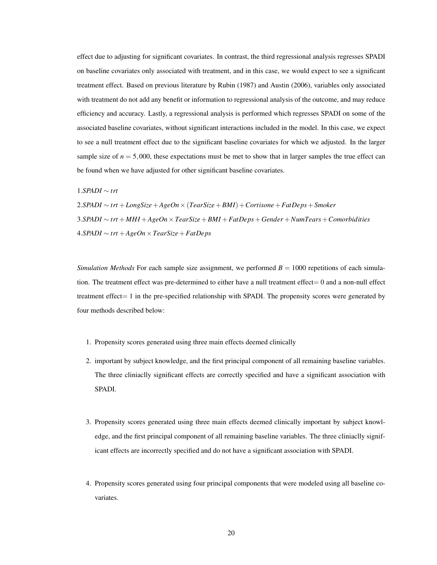effect due to adjusting for significant covariates. In contrast, the third regressional analysis regresses SPADI on baseline covariates only associated with treatment, and in this case, we would expect to see a significant treatment effect. Based on previous literature by Rubin (1987) and Austin (2006), variables only associated with treatment do not add any benefit or information to regressional analysis of the outcome, and may reduce efficiency and accuracy. Lastly, a regressional analysis is performed which regresses SPADI on some of the associated baseline covariates, without significant interactions included in the model. In this case, we expect to see a null treatment effect due to the significant baseline covariates for which we adjusted. In the larger sample size of  $n = 5,000$ , these expectations must be met to show that in larger samples the true effect can be found when we have adjusted for other significant baseline covariates.

1.*SPADI* ∼ *trt*

2.*SPADI* ∼ *trt* +*LongSize*+*AgeOn*×(*TearSize*+*BMI*) +*Cortisone*+*FatDeps*+*Smoker* 3.*SPADI* ∼ *trt* +*MHI* +*AgeOn*×*TearSize*+*BMI* +*FatDeps*+*Gender* +*NumTears*+*Comorbidities* 4.*SPADI* ∼ *trt* +*AgeOn*×*TearSize*+*FatDeps*

*Simulation Methods* For each sample size assignment, we performed  $B = 1000$  repetitions of each simulation. The treatment effect was pre-determined to either have a null treatment effect= 0 and a non-null effect treatment effect= 1 in the pre-specified relationship with SPADI. The propensity scores were generated by four methods described below:

- 1. Propensity scores generated using three main effects deemed clinically
- 2. important by subject knowledge, and the first principal component of all remaining baseline variables. The three cliniaclly significant effects are correctly specified and have a significant association with SPADI.
- 3. Propensity scores generated using three main effects deemed clinically important by subject knowledge, and the first principal component of all remaining baseline variables. The three cliniaclly significant effects are incorrectly specified and do not have a significant association with SPADI.
- 4. Propensity scores generated using four principal components that were modeled using all baseline covariates.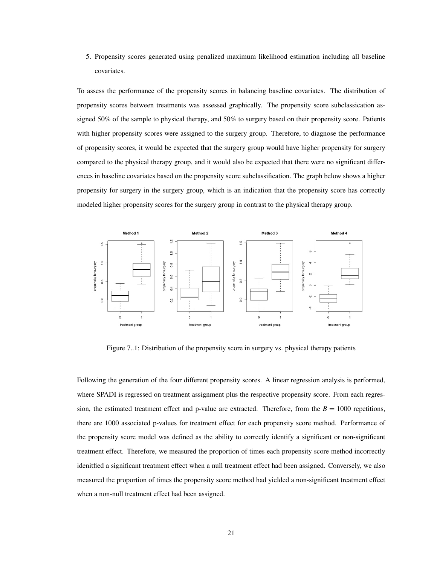5. Propensity scores generated using penalized maximum likelihood estimation including all baseline covariates.

To assess the performance of the propensity scores in balancing baseline covariates. The distribution of propensity scores between treatments was assessed graphically. The propensity score subclassication assigned 50% of the sample to physical therapy, and 50% to surgery based on their propensity score. Patients with higher propensity scores were assigned to the surgery group. Therefore, to diagnose the performance of propensity scores, it would be expected that the surgery group would have higher propensity for surgery compared to the physical therapy group, and it would also be expected that there were no significant differences in baseline covariates based on the propensity score subclassification. The graph below shows a higher propensity for surgery in the surgery group, which is an indication that the propensity score has correctly modeled higher propensity scores for the surgery group in contrast to the physical therapy group.

<span id="page-25-0"></span>

Figure 7..1: Distribution of the propensity score in surgery vs. physical therapy patients

Following the generation of the four different propensity scores. A linear regression analysis is performed, where SPADI is regressed on treatment assignment plus the respective propensity score. From each regression, the estimated treatment effect and p-value are extracted. Therefore, from the  $B = 1000$  repetitions, there are 1000 associated p-values for treatment effect for each propensity score method. Performance of the propensity score model was defined as the ability to correctly identify a significant or non-significant treatment effect. Therefore, we measured the proportion of times each propensity score method incorrectly idenitfied a significant treatment effect when a null treatment effect had been assigned. Conversely, we also measured the proportion of times the propensity score method had yielded a non-significant treatment effect when a non-null treatment effect had been assigned.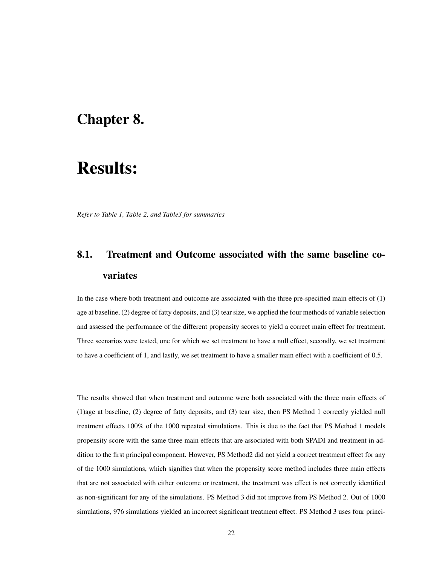### <span id="page-26-0"></span>Chapter 8.

## Results:

*Refer to Table 1, Table 2, and Table3 for summaries*

### <span id="page-26-1"></span>8.1. Treatment and Outcome associated with the same baseline covariates

In the case where both treatment and outcome are associated with the three pre-specified main effects of (1) age at baseline, (2) degree of fatty deposits, and (3) tear size, we applied the four methods of variable selection and assessed the performance of the different propensity scores to yield a correct main effect for treatment. Three scenarios were tested, one for which we set treatment to have a null effect, secondly, we set treatment to have a coefficient of 1, and lastly, we set treatment to have a smaller main effect with a coefficient of 0.5.

The results showed that when treatment and outcome were both associated with the three main effects of (1)age at baseline, (2) degree of fatty deposits, and (3) tear size, then PS Method 1 correctly yielded null treatment effects 100% of the 1000 repeated simulations. This is due to the fact that PS Method 1 models propensity score with the same three main effects that are associated with both SPADI and treatment in addition to the first principal component. However, PS Method2 did not yield a correct treatment effect for any of the 1000 simulations, which signifies that when the propensity score method includes three main effects that are not associated with either outcome or treatment, the treatment was effect is not correctly identified as non-significant for any of the simulations. PS Method 3 did not improve from PS Method 2. Out of 1000 simulations, 976 simulations yielded an incorrect significant treatment effect. PS Method 3 uses four princi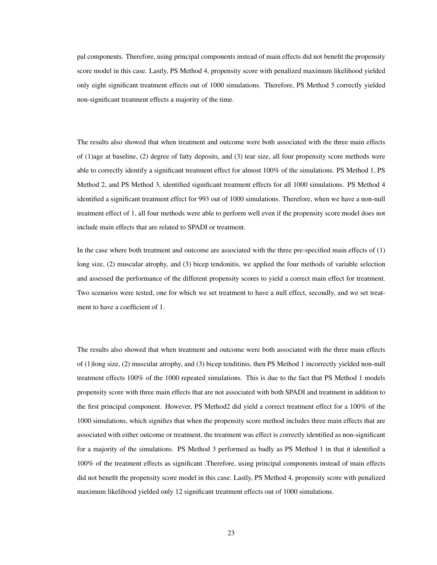pal components. Therefore, using principal components instead of main effects did not benefit the propensity score model in this case. Lastly, PS Method 4, propensity score with penalized maximum likelihood yielded only eight significant treatment effects out of 1000 simulations. Therefore, PS Method 5 correctly yielded non-significant treatment effects a majority of the time.

The results also showed that when treatment and outcome were both associated with the three main effects of (1)age at baseline, (2) degree of fatty deposits, and (3) tear size, all four propensity score methods were able to correctly identify a significant treatment effect for almost 100% of the simulations. PS Method 1, PS Method 2, and PS Method 3, identified significant treatment effects for all 1000 simulations. PS Method 4 identified a significant treatment effect for 993 out of 1000 simulations. Therefore, when we have a non-null treatment effect of 1, all four methods were able to perform well even if the propensity score model does not include main effects that are related to SPADI or treatment.

In the case where both treatment and outcome are associated with the three pre-specified main effects of (1) long size, (2) muscular atrophy, and (3) bicep tendonitis, we applied the four methods of variable selection and assessed the performance of the different propensity scores to yield a correct main effect for treatment. Two scenarios were tested, one for which we set treatment to have a null effect, secondly, and we set treatment to have a coefficient of 1.

The results also showed that when treatment and outcome were both associated with the three main effects of (1)long size, (2) muscular atrophy, and (3) bicep tenditinis, then PS Method 1 incorrectly yielded non-null treatment effects 100% of the 1000 repeated simulations. This is due to the fact that PS Method 1 models propensity score with three main effects that are not associated with both SPADI and treatment in addition to the first principal component. However, PS Method2 did yield a correct treatment effect for a 100% of the 1000 simulations, which signifies that when the propensity score method includes three main effects that are associated with either outcome or treatment, the treatment was effect is correctly identified as non-significant for a majority of the simulations. PS Method 3 performed as badly as PS Method 1 in that it identified a 100% of the treatment effects as significant .Therefore, using principal components instead of main effects did not benefit the propensity score model in this case. Lastly, PS Method 4, propensity score with penalized maximum likelihood yielded only 12 significant treatment effects out of 1000 simulations.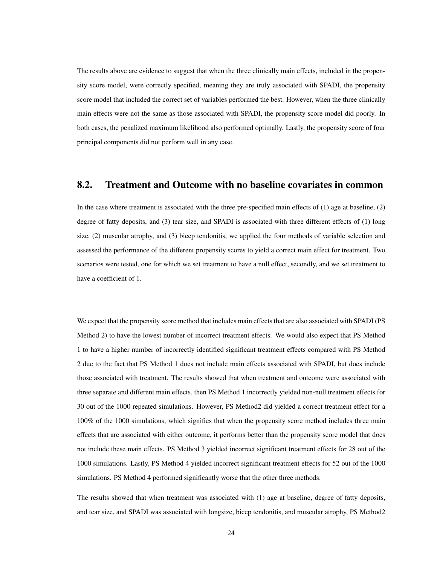The results above are evidence to suggest that when the three clinically main effects, included in the propensity score model, were correctly specified, meaning they are truly associated with SPADI, the propensity score model that included the correct set of variables performed the best. However, when the three clinically main effects were not the same as those associated with SPADI, the propensity score model did poorly. In both cases, the penalized maximum likelihood also performed optimally. Lastly, the propensity score of four principal components did not perform well in any case.

#### <span id="page-28-0"></span>8.2. Treatment and Outcome with no baseline covariates in common

In the case where treatment is associated with the three pre-specified main effects of (1) age at baseline, (2) degree of fatty deposits, and (3) tear size, and SPADI is associated with three different effects of (1) long size, (2) muscular atrophy, and (3) bicep tendonitis, we applied the four methods of variable selection and assessed the performance of the different propensity scores to yield a correct main effect for treatment. Two scenarios were tested, one for which we set treatment to have a null effect, secondly, and we set treatment to have a coefficient of 1.

We expect that the propensity score method that includes main effects that are also associated with SPADI (PS Method 2) to have the lowest number of incorrect treatment effects. We would also expect that PS Method 1 to have a higher number of incorrectly identified significant treatment effects compared with PS Method 2 due to the fact that PS Method 1 does not include main effects associated with SPADI, but does include those associated with treatment. The results showed that when treatment and outcome were associated with three separate and different main effects, then PS Method 1 incorrectly yielded non-null treatment effects for 30 out of the 1000 repeated simulations. However, PS Method2 did yielded a correct treatment effect for a 100% of the 1000 simulations, which signifies that when the propensity score method includes three main effects that are associated with either outcome, it performs better than the propensity score model that does not include these main effects. PS Method 3 yielded incorrect significant treatment effects for 28 out of the 1000 simulations. Lastly, PS Method 4 yielded incorrect significant treatment effects for 52 out of the 1000 simulations. PS Method 4 performed significantly worse that the other three methods.

The results showed that when treatment was associated with (1) age at baseline, degree of fatty deposits, and tear size, and SPADI was associated with longsize, bicep tendonitis, and muscular atrophy, PS Method2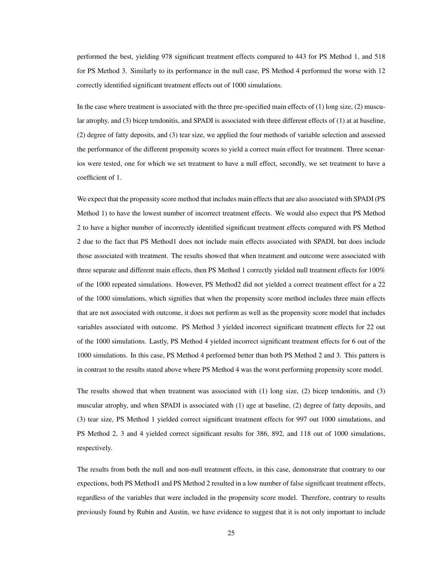performed the best, yielding 978 significant treatment effects compared to 443 for PS Method 1, and 518 for PS Method 3. Similarly to its performance in the null case, PS Method 4 performed the worse with 12 correctly identified significant treatment effects out of 1000 simulations.

In the case where treatment is associated with the three pre-specified main effects of (1) long size, (2) muscular atrophy, and (3) bicep tendonitis, and SPADI is associated with three different effects of (1) at at baseline, (2) degree of fatty deposits, and (3) tear size, we applied the four methods of variable selection and assessed the performance of the different propensity scores to yield a correct main effect for treatment. Three scenarios were tested, one for which we set treatment to have a null effect, secondly, we set treatment to have a coefficient of 1.

We expect that the propensity score method that includes main effects that are also associated with SPADI (PS Method 1) to have the lowest number of incorrect treatment effects. We would also expect that PS Method 2 to have a higher number of incorrectly identified significant treatment effects compared with PS Method 2 due to the fact that PS Method1 does not include main effects associated with SPADI, but does include those associated with treatment. The results showed that when treatment and outcome were associated with three separate and different main effects, then PS Method 1 correctly yielded null treatment effects for 100% of the 1000 repeated simulations. However, PS Method2 did not yielded a correct treatment effect for a 22 of the 1000 simulations, which signifies that when the propensity score method includes three main effects that are not associated with outcome, it does not perform as well as the propensity score model that includes variables associated with outcome. PS Method 3 yielded incorrect significant treatment effects for 22 out of the 1000 simulations. Lastly, PS Method 4 yielded incorrect significant treatment effects for 6 out of the 1000 simulations. In this case, PS Method 4 performed better than both PS Method 2 and 3. This pattern is in contrast to the results stated above where PS Method 4 was the worst performing propensity score model.

The results showed that when treatment was associated with (1) long size, (2) bicep tendonitis, and (3) muscular atrophy, and when SPADI is associated with (1) age at baseline, (2) degree of fatty deposits, and (3) tear size, PS Method 1 yielded correct significant treatment effects for 997 out 1000 simulations, and PS Method 2, 3 and 4 yielded correct significant results for 386, 892, and 118 out of 1000 simulations, respectively.

The results from both the null and non-null treatment effects, in this case, demonstrate that contrary to our expections, both PS Method1 and PS Method 2 resulted in a low number of false significant treatment effects, regardless of the variables that were included in the propensity score model. Therefore, contrary to results previously found by Rubin and Austin, we have evidence to suggest that it is not only important to include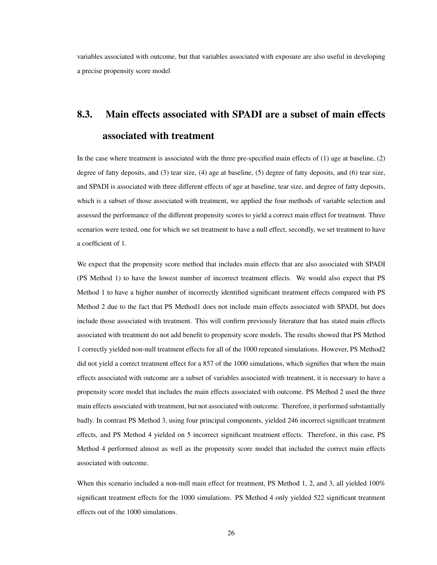variables associated with outcome, but that variables associated with exposure are also useful in developing a precise propensity score model

### <span id="page-30-0"></span>8.3. Main effects associated with SPADI are a subset of main effects associated with treatment

In the case where treatment is associated with the three pre-specified main effects of (1) age at baseline, (2) degree of fatty deposits, and (3) tear size, (4) age at baseline, (5) degree of fatty deposits, and (6) tear size, and SPADI is associated with three different effects of age at baseline, tear size, and degree of fatty deposits, which is a subset of those associated with treatment, we applied the four methods of variable selection and assessed the performance of the different propensity scores to yield a correct main effect for treatment. Three scenarios were tested, one for which we set treatment to have a null effect, secondly, we set treatment to have a coefficient of 1.

We expect that the propensity score method that includes main effects that are also associated with SPADI (PS Method 1) to have the lowest number of incorrect treatment effects. We would also expect that PS Method 1 to have a higher number of incorrectly identified significant treatment effects compared with PS Method 2 due to the fact that PS Method1 does not include main effects associated with SPADI, but does include those associated with treatment. This will confirm previously literature that has stated main effects associated with treatment do not add benefit to propensity score models. The results showed that PS Method 1 correctly yielded non-null treatment effects for all of the 1000 repeated simulations. However, PS Method2 did not yield a correct treatment effect for a 857 of the 1000 simulations, which signifies that when the main effects associated with outcome are a subset of variables associated with treatment, it is necessary to have a propensity score model that includes the main effects associated with outcome. PS Method 2 used the three main effects associated with treatment, but not associated with outcome. Therefore, it performed substantially badly. In contrast PS Method 3, using four principal components, yielded 246 incorrect significant treatment effects, and PS Method 4 yielded on 5 incorrect significant treatment effects. Therefore, in this case, PS Method 4 performed almost as well as the propensity score model that included the correct main effects associated with outcome.

When this scenario included a non-null main effect for treatment, PS Method 1, 2, and 3, all yielded 100% significant treatment effects for the 1000 simulations. PS Method 4 only yielded 522 significant treatment effects out of the 1000 simulations.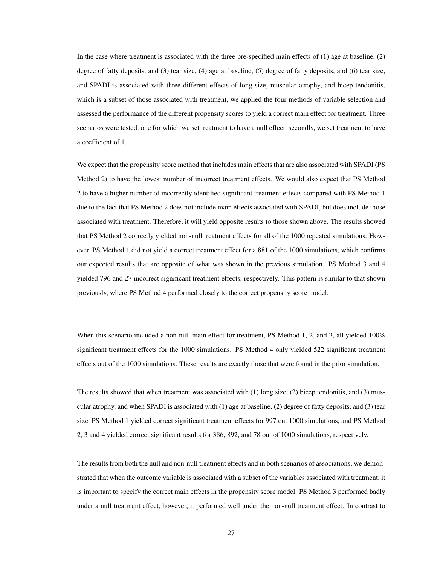In the case where treatment is associated with the three pre-specified main effects of (1) age at baseline, (2) degree of fatty deposits, and (3) tear size, (4) age at baseline, (5) degree of fatty deposits, and (6) tear size, and SPADI is associated with three different effects of long size, muscular atrophy, and bicep tendonitis, which is a subset of those associated with treatment, we applied the four methods of variable selection and assessed the performance of the different propensity scores to yield a correct main effect for treatment. Three scenarios were tested, one for which we set treatment to have a null effect, secondly, we set treatment to have a coefficient of 1.

We expect that the propensity score method that includes main effects that are also associated with SPADI (PS Method 2) to have the lowest number of incorrect treatment effects. We would also expect that PS Method 2 to have a higher number of incorrectly identified significant treatment effects compared with PS Method 1 due to the fact that PS Method 2 does not include main effects associated with SPADI, but does include those associated with treatment. Therefore, it will yield opposite results to those shown above. The results showed that PS Method 2 correctly yielded non-null treatment effects for all of the 1000 repeated simulations. However, PS Method 1 did not yield a correct treatment effect for a 881 of the 1000 simulations, which confirms our expected results that are opposite of what was shown in the previous simulation. PS Method 3 and 4 yielded 796 and 27 incorrect significant treatment effects, respectively. This pattern is similar to that shown previously, where PS Method 4 performed closely to the correct propensity score model.

When this scenario included a non-null main effect for treatment, PS Method 1, 2, and 3, all yielded 100% significant treatment effects for the 1000 simulations. PS Method 4 only yielded 522 significant treatment effects out of the 1000 simulations. These results are exactly those that were found in the prior simulation.

The results showed that when treatment was associated with (1) long size, (2) bicep tendonitis, and (3) muscular atrophy, and when SPADI is associated with (1) age at baseline, (2) degree of fatty deposits, and (3) tear size, PS Method 1 yielded correct significant treatment effects for 997 out 1000 simulations, and PS Method 2, 3 and 4 yielded correct significant results for 386, 892, and 78 out of 1000 simulations, respectively.

The results from both the null and non-null treatment effects and in both scenarios of associations, we demonstrated that when the outcome variable is associated with a subset of the variables associated with treatment, it is important to specify the correct main effects in the propensity score model. PS Method 3 performed badly under a null treatment effect, however, it performed well under the non-null treatment effect. In contrast to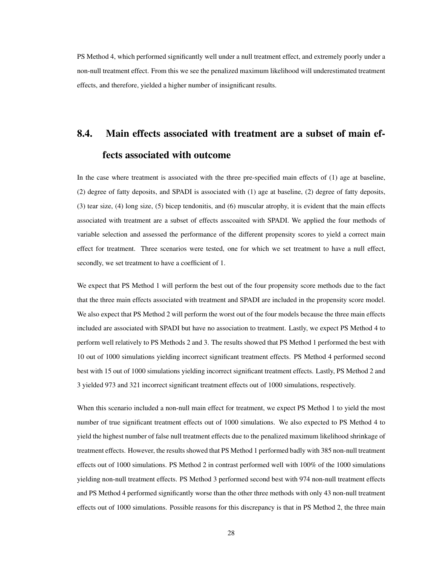PS Method 4, which performed significantly well under a null treatment effect, and extremely poorly under a non-null treatment effect. From this we see the penalized maximum likelihood will underestimated treatment effects, and therefore, yielded a higher number of insignificant results.

## <span id="page-32-0"></span>8.4. Main effects associated with treatment are a subset of main effects associated with outcome

In the case where treatment is associated with the three pre-specified main effects of (1) age at baseline, (2) degree of fatty deposits, and SPADI is associated with (1) age at baseline, (2) degree of fatty deposits, (3) tear size, (4) long size, (5) bicep tendonitis, and (6) muscular atrophy, it is evident that the main effects associated with treatment are a subset of effects asscoaited with SPADI. We applied the four methods of variable selection and assessed the performance of the different propensity scores to yield a correct main effect for treatment. Three scenarios were tested, one for which we set treatment to have a null effect, secondly, we set treatment to have a coefficient of 1.

We expect that PS Method 1 will perform the best out of the four propensity score methods due to the fact that the three main effects associated with treatment and SPADI are included in the propensity score model. We also expect that PS Method 2 will perform the worst out of the four models because the three main effects included are associated with SPADI but have no association to treatment. Lastly, we expect PS Method 4 to perform well relatively to PS Methods 2 and 3. The results showed that PS Method 1 performed the best with 10 out of 1000 simulations yielding incorrect significant treatment effects. PS Method 4 performed second best with 15 out of 1000 simulations yielding incorrect significant treatment effects. Lastly, PS Method 2 and 3 yielded 973 and 321 incorrect significant treatment effects out of 1000 simulations, respectively.

When this scenario included a non-null main effect for treatment, we expect PS Method 1 to yield the most number of true significant treatment effects out of 1000 simulations. We also expected to PS Method 4 to yield the highest number of false null treatment effects due to the penalized maximum likelihood shrinkage of treatment effects. However, the results showed that PS Method 1 performed badly with 385 non-null treatment effects out of 1000 simulations. PS Method 2 in contrast performed well with 100% of the 1000 simulations yielding non-null treatment effects. PS Method 3 performed second best with 974 non-null treatment effects and PS Method 4 performed significantly worse than the other three methods with only 43 non-null treatment effects out of 1000 simulations. Possible reasons for this discrepancy is that in PS Method 2, the three main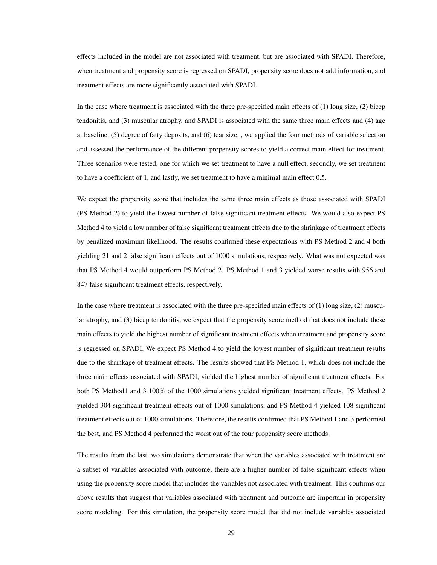effects included in the model are not associated with treatment, but are associated with SPADI. Therefore, when treatment and propensity score is regressed on SPADI, propensity score does not add information, and treatment effects are more significantly associated with SPADI.

In the case where treatment is associated with the three pre-specified main effects of (1) long size, (2) bicep tendonitis, and (3) muscular atrophy, and SPADI is associated with the same three main effects and (4) age at baseline, (5) degree of fatty deposits, and (6) tear size, , we applied the four methods of variable selection and assessed the performance of the different propensity scores to yield a correct main effect for treatment. Three scenarios were tested, one for which we set treatment to have a null effect, secondly, we set treatment to have a coefficient of 1, and lastly, we set treatment to have a minimal main effect 0.5.

We expect the propensity score that includes the same three main effects as those associated with SPADI (PS Method 2) to yield the lowest number of false significant treatment effects. We would also expect PS Method 4 to yield a low number of false significant treatment effects due to the shrinkage of treatment effects by penalized maximum likelihood. The results confirmed these expectations with PS Method 2 and 4 both yielding 21 and 2 false significant effects out of 1000 simulations, respectively. What was not expected was that PS Method 4 would outperform PS Method 2. PS Method 1 and 3 yielded worse results with 956 and 847 false significant treatment effects, respectively.

In the case where treatment is associated with the three pre-specified main effects of (1) long size, (2) muscular atrophy, and (3) bicep tendonitis, we expect that the propensity score method that does not include these main effects to yield the highest number of significant treatment effects when treatment and propensity score is regressed on SPADI. We expect PS Method 4 to yield the lowest number of significant treatment results due to the shrinkage of treatment effects. The results showed that PS Method 1, which does not include the three main effects associated with SPADI, yielded the highest number of significant treatment effects. For both PS Method1 and 3 100% of the 1000 simulations yielded significant treatment effects. PS Method 2 yielded 304 significant treatment effects out of 1000 simulations, and PS Method 4 yielded 108 significant treatment effects out of 1000 simulations. Therefore, the results confirmed that PS Method 1 and 3 performed the best, and PS Method 4 performed the worst out of the four propensity score methods.

The results from the last two simulations demonstrate that when the variables associated with treatment are a subset of variables associated with outcome, there are a higher number of false significant effects when using the propensity score model that includes the variables not associated with treatment. This confirms our above results that suggest that variables associated with treatment and outcome are important in propensity score modeling. For this simulation, the propensity score model that did not include variables associated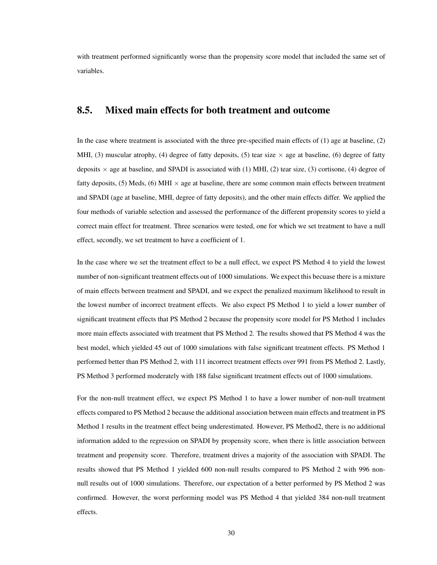with treatment performed significantly worse than the propensity score model that included the same set of variables.

#### <span id="page-34-0"></span>8.5. Mixed main effects for both treatment and outcome

In the case where treatment is associated with the three pre-specified main effects of (1) age at baseline, (2) MHI, (3) muscular atrophy, (4) degree of fatty deposits, (5) tear size  $\times$  age at baseline, (6) degree of fatty deposits  $\times$  age at baseline, and SPADI is associated with (1) MHI, (2) tear size, (3) cortisone, (4) degree of fatty deposits,  $(5)$  Meds,  $(6)$  MHI  $\times$  age at baseline, there are some common main effects between treatment and SPADI (age at baseline, MHI, degree of fatty deposits), and the other main effects differ. We applied the four methods of variable selection and assessed the performance of the different propensity scores to yield a correct main effect for treatment. Three scenarios were tested, one for which we set treatment to have a null effect, secondly, we set treatment to have a coefficient of 1.

In the case where we set the treatment effect to be a null effect, we expect PS Method 4 to yield the lowest number of non-significant treatment effects out of 1000 simulations. We expect this becuase there is a mixture of main effects between treatment and SPADI, and we expect the penalized maximum likelihood to result in the lowest number of incorrect treatment effects. We also expect PS Method 1 to yield a lower number of significant treatment effects that PS Method 2 because the propensity score model for PS Method 1 includes more main effects associated with treatment that PS Method 2. The results showed that PS Method 4 was the best model, which yielded 45 out of 1000 simulations with false significant treatment effects. PS Method 1 performed better than PS Method 2, with 111 incorrect treatment effects over 991 from PS Method 2. Lastly, PS Method 3 performed moderately with 188 false significant treatment effects out of 1000 simulations.

For the non-null treatment effect, we expect PS Method 1 to have a lower number of non-null treatment effects compared to PS Method 2 because the additional association between main effects and treatment in PS Method 1 results in the treatment effect being underestimated. However, PS Method2, there is no additional information added to the regression on SPADI by propensity score, when there is little association between treatment and propensity score. Therefore, treatment drives a majority of the association with SPADI. The results showed that PS Method 1 yielded 600 non-null results compared to PS Method 2 with 996 nonnull results out of 1000 simulations. Therefore, our expectation of a better performed by PS Method 2 was confirmed. However, the worst performing model was PS Method 4 that yielded 384 non-null treatment effects.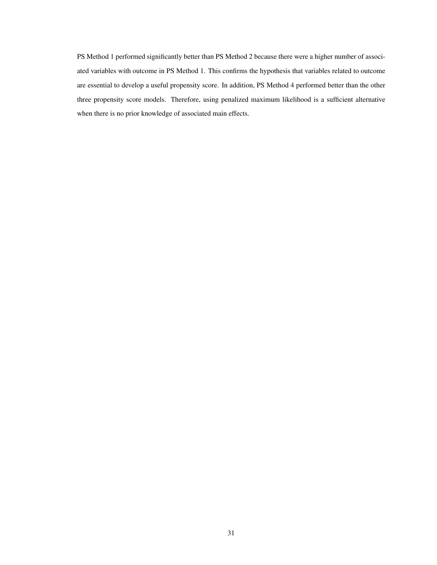PS Method 1 performed significantly better than PS Method 2 because there were a higher number of associated variables with outcome in PS Method 1. This confirms the hypothesis that variables related to outcome are essential to develop a useful propensity score. In addition, PS Method 4 performed better than the other three propensity score models. Therefore, using penalized maximum likelihood is a sufficient alternative when there is no prior knowledge of associated main effects.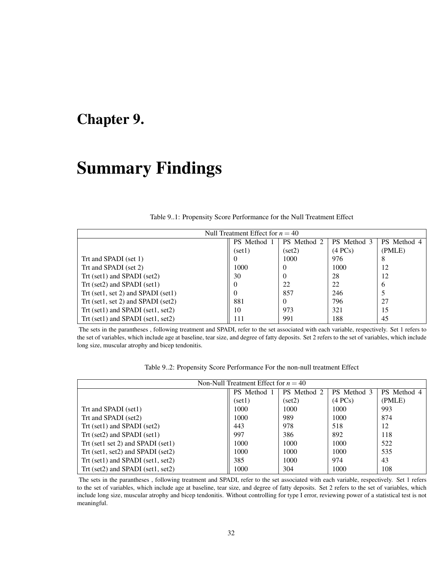### <span id="page-36-0"></span>Chapter 9.

## Summary Findings

<span id="page-36-1"></span>

| Null Treatment Effect for $n = 40$ |             |             |             |             |
|------------------------------------|-------------|-------------|-------------|-------------|
|                                    | PS Method 1 | PS Method 2 | PS Method 3 | PS Method 4 |
|                                    | (set1)      | (set2)      | (4 PCs)     | (PMLE)      |
| Trt and SPADI (set 1)              |             | 1000        | 976         | 8           |
| Trt and SPADI (set 2)              | 1000        | $\theta$    | 1000        | 12          |
| Trt (set1) and SPADI (set2)        | 30          | $\theta$    | 28          | 12          |
| Trt (set2) and SPADI (set1)        |             | 22          | 22          | 6           |
| Trt (set1, set 2) and SPADI (set1) |             | 857         | 246         |             |
| Trt (set1, set 2) and SPADI (set2) | 881         | $\Omega$    | 796         | 27          |
| Trt (set1) and SPADI (set1, set2)  | 10          | 973         | 321         | 15          |
| Trt (set1) and SPADI (set1, set2)  | 111         | 991         | 188         | 45          |

Table 9..1: Propensity Score Performance for the Null Treatment Effect

The sets in the parantheses , following treatment and SPADI, refer to the set associated with each variable, respectively. Set 1 refers to the set of variables, which include age at baseline, tear size, and degree of fatty deposits. Set 2 refers to the set of variables, which include long size, muscular atrophy and bicep tendonitis.

| Table 92: Propensity Score Performance For the non-null treatment Effect |  |  |
|--------------------------------------------------------------------------|--|--|
|                                                                          |  |  |

<span id="page-36-2"></span>

| Non-Null Treatment Effect for $n = 40$ |             |             |             |             |
|----------------------------------------|-------------|-------------|-------------|-------------|
|                                        | PS Method 1 | PS Method 2 | PS Method 3 | PS Method 4 |
|                                        | (set1)      | (set2)      | (4 PCs)     | (PMLE)      |
| Trt and SPADI (set1)                   | 1000        | 1000        | 1000        | 993         |
| Trt and SPADI (set2)                   | 1000        | 989         | 1000        | 874         |
| Trt (set1) and SPADI (set2)            | 443         | 978         | 518         | 12          |
| Trt (set2) and SPADI (set1)            | 997         | 386         | 892         | 118         |
| Trt (set1 set 2) and SPADI (set1)      | 1000        | 1000        | 1000        | 522         |
| Trt (set1, set2) and SPADI (set2)      | 1000        | 1000        | 1000        | 535         |
| Trt (set1) and SPADI (set1, set2)      | 385         | 1000        | 974         | 43          |
| Trt (set2) and SPADI (set1, set2)      | 1000        | 304         | 1000        | 108         |

The sets in the parantheses , following treatment and SPADI, refer to the set associated with each variable, respectively. Set 1 refers to the set of variables, which include age at baseline, tear size, and degree of fatty deposits. Set 2 refers to the set of variables, which include long size, muscular atrophy and bicep tendonitis. Without controlling for type I error, reviewing power of a statistical test is not meaningful.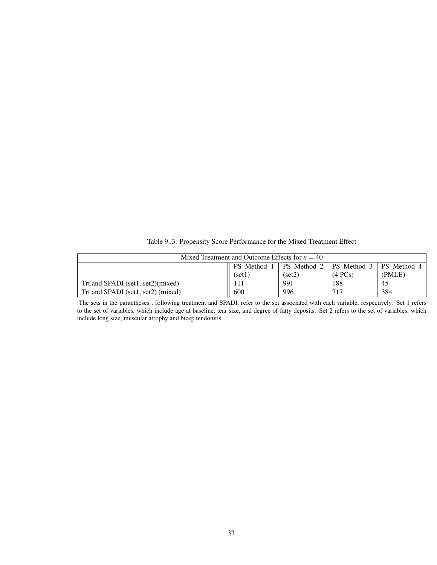Table 9..3: Propensity Score Performance for the Mixed Treatment Effect

<span id="page-37-0"></span>

| Mixed Treatment and Outcome Effects for $n = 40$ |           |                    |                    |             |
|--------------------------------------------------|-----------|--------------------|--------------------|-------------|
|                                                  | PS Method | <b>PS</b> Method 2 | <b>PS</b> Method 3 | PS Method 4 |
|                                                  | (set1)    | (set2)             | (4 PCs)            | (PMLE)      |
| Trt and SPADI (set1, set2)(mixed)                | 111       | 991                | 188                | 45          |
| Trt and SPADI (set1, set2) (mixed)               | 600       | 996                | 717                | 384         |

The sets in the parantheses , following treatment and SPADI, refer to the set associated with each variable, respectively. Set 1 refers to the set of variables, which include age at baseline, tear size, and degree of fatty deposits. Set 2 refers to the set of variables, which include long size, muscular atrophy and bicep tendonitis.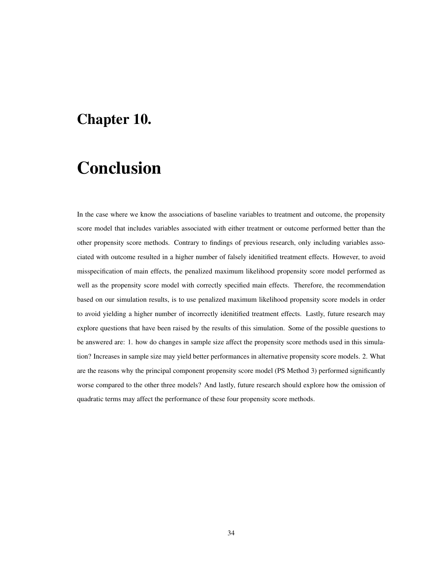### <span id="page-38-0"></span>Chapter 10.

## Conclusion

In the case where we know the associations of baseline variables to treatment and outcome, the propensity score model that includes variables associated with either treatment or outcome performed better than the other propensity score methods. Contrary to findings of previous research, only including variables associated with outcome resulted in a higher number of falsely idenitified treatment effects. However, to avoid misspecification of main effects, the penalized maximum likelihood propensity score model performed as well as the propensity score model with correctly specified main effects. Therefore, the recommendation based on our simulation results, is to use penalized maximum likelihood propensity score models in order to avoid yielding a higher number of incorrectly idenitified treatment effects. Lastly, future research may explore questions that have been raised by the results of this simulation. Some of the possible questions to be answered are: 1. how do changes in sample size affect the propensity score methods used in this simulation? Increases in sample size may yield better performances in alternative propensity score models. 2. What are the reasons why the principal component propensity score model (PS Method 3) performed significantly worse compared to the other three models? And lastly, future research should explore how the omission of quadratic terms may affect the performance of these four propensity score methods.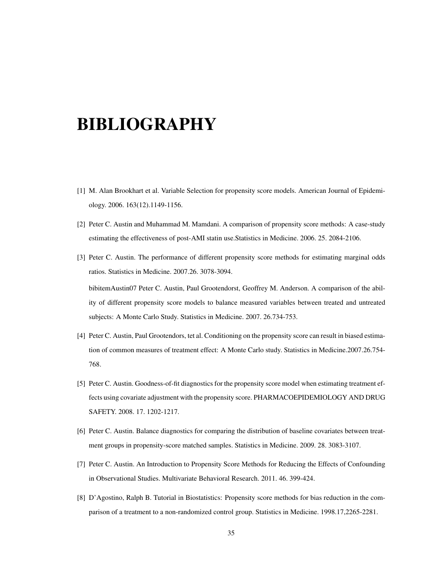# <span id="page-39-0"></span>BIBLIOGRAPHY

- [1] M. Alan Brookhart et al. Variable Selection for propensity score models. American Journal of Epidemiology. 2006. 163(12).1149-1156.
- [2] Peter C. Austin and Muhammad M. Mamdani. A comparison of propensity score methods: A case-study estimating the effectiveness of post-AMI statin use.Statistics in Medicine. 2006. 25. 2084-2106.
- [3] Peter C. Austin. The performance of different propensity score methods for estimating marginal odds ratios. Statistics in Medicine. 2007.26. 3078-3094. bibitemAustin07 Peter C. Austin, Paul Grootendorst, Geoffrey M. Anderson. A comparison of the ability of different propensity score models to balance measured variables between treated and untreated subjects: A Monte Carlo Study. Statistics in Medicine. 2007. 26.734-753.
- [4] Peter C. Austin, Paul Grootendors, tet al. Conditioning on the propensity score can result in biased estimation of common measures of treatment effect: A Monte Carlo study. Statistics in Medicine.2007.26.754- 768.
- [5] Peter C. Austin. Goodness-of-fit diagnostics for the propensity score model when estimating treatment effects using covariate adjustment with the propensity score. PHARMACOEPIDEMIOLOGY AND DRUG SAFETY. 2008. 17. 1202-1217.
- [6] Peter C. Austin. Balance diagnostics for comparing the distribution of baseline covariates between treatment groups in propensity-score matched samples. Statistics in Medicine. 2009. 28. 3083-3107.
- [7] Peter C. Austin. An Introduction to Propensity Score Methods for Reducing the Effects of Confounding in Observational Studies. Multivariate Behavioral Research. 2011. 46. 399-424.
- [8] D'Agostino, Ralph B. Tutorial in Biostatistics: Propensity score methods for bias reduction in the comparison of a treatment to a non-randomized control group. Statistics in Medicine. 1998.17,2265-2281.